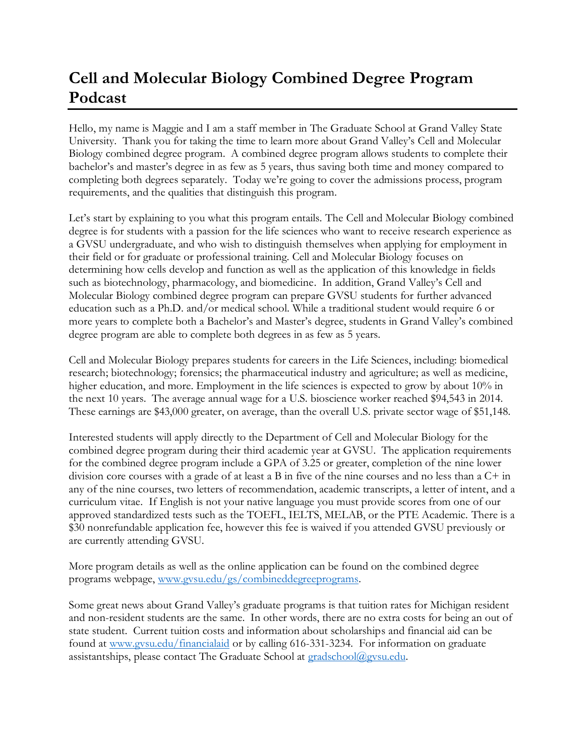## **Cell and Molecular Biology Combined Degree Program Podcast**

Hello, my name is Maggie and I am a staff member in The Graduate School at Grand Valley State University. Thank you for taking the time to learn more about Grand Valley's Cell and Molecular Biology combined degree program. A combined degree program allows students to complete their bachelor's and master's degree in as few as 5 years, thus saving both time and money compared to completing both degrees separately. Today we're going to cover the admissions process, program requirements, and the qualities that distinguish this program.

Let's start by explaining to you what this program entails. The Cell and Molecular Biology combined degree is for students with a passion for the life sciences who want to receive research experience as a GVSU undergraduate, and who wish to distinguish themselves when applying for employment in their field or for graduate or professional training. Cell and Molecular Biology focuses on determining how cells develop and function as well as the application of this knowledge in fields such as biotechnology, pharmacology, and biomedicine. In addition, Grand Valley's Cell and Molecular Biology combined degree program can prepare GVSU students for further advanced education such as a Ph.D. and/or medical school. While a traditional student would require 6 or more years to complete both a Bachelor's and Master's degree, students in Grand Valley's combined degree program are able to complete both degrees in as few as 5 years.

Cell and Molecular Biology prepares students for careers in the Life Sciences, including: biomedical research; biotechnology; forensics; the pharmaceutical industry and agriculture; as well as medicine, higher education, and more. Employment in the life sciences is expected to grow by about 10% in the next 10 years. The average annual wage for a U.S. bioscience worker reached \$94,543 in 2014. These earnings are \$43,000 greater, on average, than the overall U.S. private sector wage of \$51,148.

Interested students will apply directly to the Department of Cell and Molecular Biology for the combined degree program during their third academic year at GVSU. The application requirements for the combined degree program include a GPA of 3.25 or greater, completion of the nine lower division core courses with a grade of at least a B in five of the nine courses and no less than a C+ in any of the nine courses, two letters of recommendation, academic transcripts, a letter of intent, and a curriculum vitae. If English is not your native language you must provide scores from one of our approved standardized tests such as the TOEFL, IELTS, MELAB, or the PTE Academic. There is a \$30 nonrefundable application fee, however this fee is waived if you attended GVSU previously or are currently attending GVSU.

More program details as well as the online application can be found on the combined degree programs webpage, [www.gvsu.edu/gs/combineddegreeprograms.](http://www.gvsu.edu/gs/combineddegreeprograms)

Some great news about Grand Valley's graduate programs is that tuition rates for Michigan resident and non-resident students are the same. In other words, there are no extra costs for being an out of state student. Current tuition costs and information about scholarships and financial aid can be found at [www.gvsu.edu/financialaid](http://www.gvsu.edu/financialaid) or by calling 616-331-3234. For information on graduate assistantships, please contact The Graduate School at [gradschool@gvsu.edu.](mailto:gradschool@gvsu.edu)